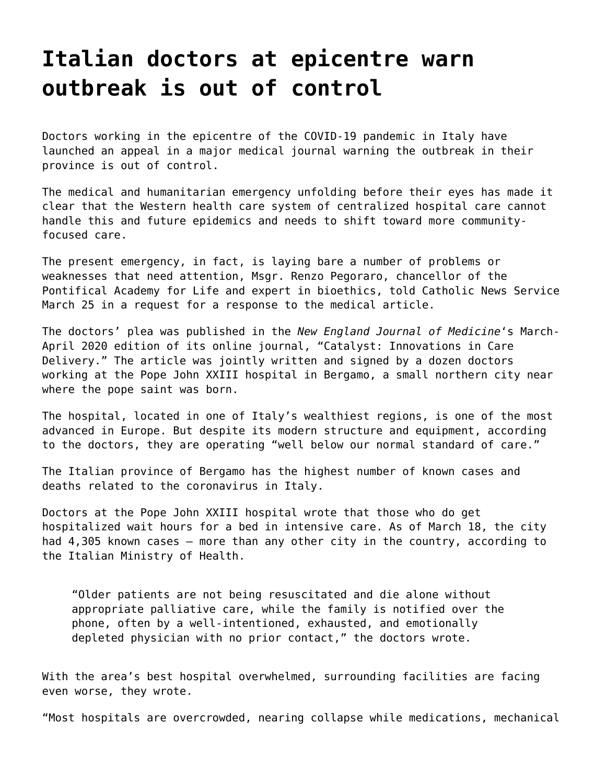## **[Italian doctors at epicentre warn](https://grandinmedia.ca/italian-doctors-at-epicentre-warn-outbreak-is-out-of-control/) [outbreak is out of control](https://grandinmedia.ca/italian-doctors-at-epicentre-warn-outbreak-is-out-of-control/)**

Doctors working in the epicentre of the COVID-19 pandemic in Italy have launched an appeal in a major medical journal warning the outbreak in their province is out of control.

The medical and humanitarian emergency unfolding before their eyes has made it clear that the Western health care system of centralized hospital care cannot handle this and future epidemics and needs to shift toward more communityfocused care.

The present emergency, in fact, is laying bare a number of problems or weaknesses that need attention, Msgr. Renzo Pegoraro, chancellor of the Pontifical Academy for Life and expert in bioethics, told Catholic News Service March 25 in a request for a response to the medical article.

The doctors' plea was published in the *New England Journal of Medicine*'s March-April 2020 edition of its online journal, "Catalyst: Innovations in Care Delivery." The article was jointly written and signed by a dozen doctors working at the Pope John XXIII hospital in Bergamo, a small northern city near where the pope saint was born.

The hospital, located in one of Italy's wealthiest regions, is one of the most advanced in Europe. But despite its modern structure and equipment, according to the doctors, they are operating "well below our normal standard of care."

The Italian province of Bergamo has the highest number of known cases and deaths related to the coronavirus in Italy.

Doctors at the Pope John XXIII hospital wrote that those who do get hospitalized wait hours for a bed in intensive care. As of March 18, the city had 4,305 known cases – more than any other city in the country, according to the Italian Ministry of Health.

"Older patients are not being resuscitated and die alone without appropriate palliative care, while the family is notified over the phone, often by a well-intentioned, exhausted, and emotionally depleted physician with no prior contact," the doctors wrote.

With the area's best hospital overwhelmed, surrounding facilities are facing even worse, they wrote.

"Most hospitals are overcrowded, nearing collapse while medications, mechanical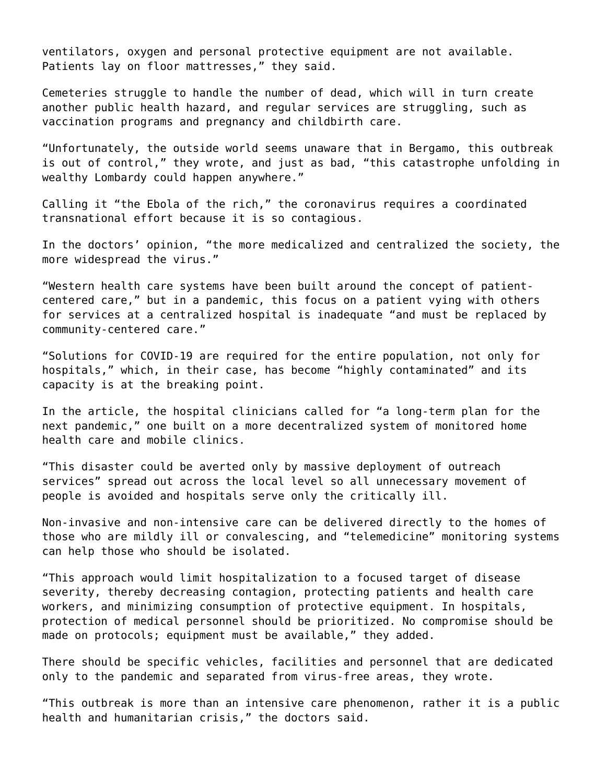ventilators, oxygen and personal protective equipment are not available. Patients lay on floor mattresses," they said.

Cemeteries struggle to handle the number of dead, which will in turn create another public health hazard, and regular services are struggling, such as vaccination programs and pregnancy and childbirth care.

"Unfortunately, the outside world seems unaware that in Bergamo, this outbreak is out of control," they wrote, and just as bad, "this catastrophe unfolding in wealthy Lombardy could happen anywhere."

Calling it "the Ebola of the rich," the coronavirus requires a coordinated transnational effort because it is so contagious.

In the doctors' opinion, "the more medicalized and centralized the society, the more widespread the virus."

"Western health care systems have been built around the concept of patientcentered care," but in a pandemic, this focus on a patient vying with others for services at a centralized hospital is inadequate "and must be replaced by community-centered care."

"Solutions for COVID-19 are required for the entire population, not only for hospitals," which, in their case, has become "highly contaminated" and its capacity is at the breaking point.

In the article, the hospital clinicians called for "a long-term plan for the next pandemic," one built on a more decentralized system of monitored home health care and mobile clinics.

"This disaster could be averted only by massive deployment of outreach services" spread out across the local level so all unnecessary movement of people is avoided and hospitals serve only the critically ill.

Non-invasive and non-intensive care can be delivered directly to the homes of those who are mildly ill or convalescing, and "telemedicine" monitoring systems can help those who should be isolated.

"This approach would limit hospitalization to a focused target of disease severity, thereby decreasing contagion, protecting patients and health care workers, and minimizing consumption of protective equipment. In hospitals, protection of medical personnel should be prioritized. No compromise should be made on protocols; equipment must be available," they added.

There should be specific vehicles, facilities and personnel that are dedicated only to the pandemic and separated from virus-free areas, they wrote.

"This outbreak is more than an intensive care phenomenon, rather it is a public health and humanitarian crisis," the doctors said.